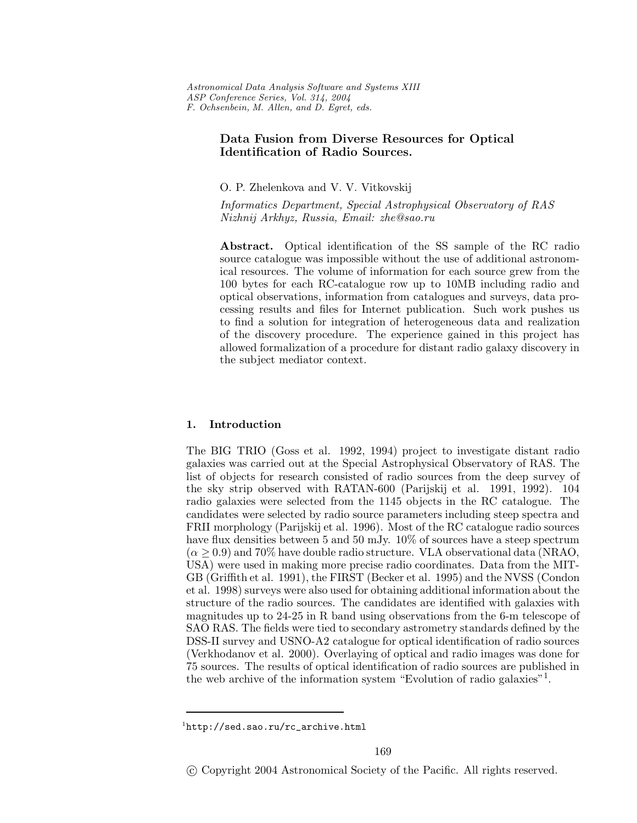# **Data Fusion from Diverse Resources for Optical Identification of Radio Sources.**

O. P. Zhelenkova and V. V. Vitkovskij

*Informatics Department, Special Astrophysical Observatory of RAS Nizhnij Arkhyz, Russia, Email: zhe@sao.ru*

**Abstract.** Optical identification of the SS sample of the RC radio source catalogue was impossible without the use of additional astronomical resources. The volume of information for each source grew from the 100 bytes for each RC-catalogue row up to 10MB including radio and optical observations, information from catalogues and surveys, data processing results and files for Internet publication. Such work pushes us to find a solution for integration of heterogeneous data and realization of the discovery procedure. The experience gained in this project has allowed formalization of a procedure for distant radio galaxy discovery in the subject mediator context.

## **1. Introduction**

The BIG TRIO (Goss et al. 1992, 1994) project to investigate distant radio galaxies was carried out at the Special Astrophysical Observatory of RAS. The list of objects for research consisted of radio sources from the deep survey of the sky strip observed with RATAN-600 (Parijskij et al. 1991, 1992). 104 radio galaxies were selected from the 1145 objects in the RC catalogue. The candidates were selected by radio source parameters including steep spectra and FRII morphology (Parijskij et al. 1996). Most of the RC catalogue radio sources have flux densities between 5 and 50 mJy. 10% of sources have a steep spectrum  $(\alpha \geq 0.9)$  and 70% have double radio structure. VLA observational data (NRAO, USA) were used in making more precise radio coordinates. Data from the MIT-GB (Griffith et al. 1991), the FIRST (Becker et al. 1995) and the NVSS (Condon et al. 1998) surveys were also used for obtaining additional information about the structure of the radio sources. The candidates are identified with galaxies with magnitudes up to 24-25 in R band using observations from the 6-m telescope of SAO RAS. The fields were tied to secondary astrometry standards defined by the DSS-II survey and USNO-A2 catalogue for optical identification of radio sources (Verkhodanov et al. 2000). Overlaying of optical and radio images was done for 75 sources. The results of optical identification of radio sources are published in the web archive of the information system "Evolution of radio galaxies"<sup>1</sup>.

 $1$ http://sed.sao.ru/rc\_archive.html

<sup>-</sup>c Copyright 2004 Astronomical Society of the Pacific. All rights reserved.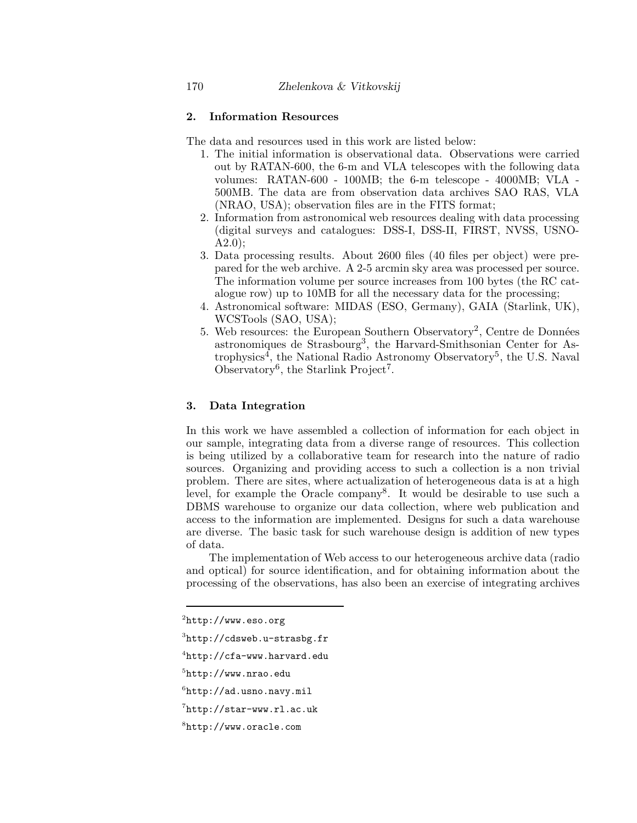### **2. Information Resources**

The data and resources used in this work are listed below:

- 1. The initial information is observational data. Observations were carried out by RATAN-600, the 6-m and VLA telescopes with the following data volumes: RATAN-600 - 100MB; the 6-m telescope - 4000MB; VLA - 500MB. The data are from observation data archives SAO RAS, VLA (NRAO, USA); observation files are in the FITS format;
- 2. Information from astronomical web resources dealing with data processing (digital surveys and catalogues: DSS-I, DSS-II, FIRST, NVSS, USNO-A2.0);
- 3. Data processing results. About 2600 files (40 files per object) were prepared for the web archive. A 2-5 arcmin sky area was processed per source. The information volume per source increases from 100 bytes (the RC catalogue row) up to 10MB for all the necessary data for the processing;
- 4. Astronomical software: MIDAS (ESO, Germany), GAIA (Starlink, UK), WCSTools (SAO, USA);
- 5. Web resources: the European Southern Observatory<sup>2</sup>, Centre de Données astronomiques de Strasbourg3, the Harvard-Smithsonian Center for Astrophysics<sup>4</sup>, the National Radio Astronomy Observatory<sup>5</sup>, the U.S. Naval Observatory<sup>6</sup>, the Starlink Project<sup>7</sup>.

## **3. Data Integration**

In this work we have assembled a collection of information for each object in our sample, integrating data from a diverse range of resources. This collection is being utilized by a collaborative team for research into the nature of radio sources. Organizing and providing access to such a collection is a non trivial problem. There are sites, where actualization of heterogeneous data is at a high level, for example the Oracle company8. It would be desirable to use such a DBMS warehouse to organize our data collection, where web publication and access to the information are implemented. Designs for such a data warehouse are diverse. The basic task for such warehouse design is addition of new types of data.

The implementation of Web access to our heterogeneous archive data (radio and optical) for source identification, and for obtaining information about the processing of the observations, has also been an exercise of integrating archives

- $3$ http://cdsweb.u-strasbg.fr
- $4$ http://cfa-www.harvard.edu

 $6$ http://ad.usno.navy.mil

 $^{2}$ http://www.eso.org

 $5$ http://www.nrao.edu

<sup>7</sup>http://star-www.rl.ac.uk

<sup>8</sup>http://www.oracle.com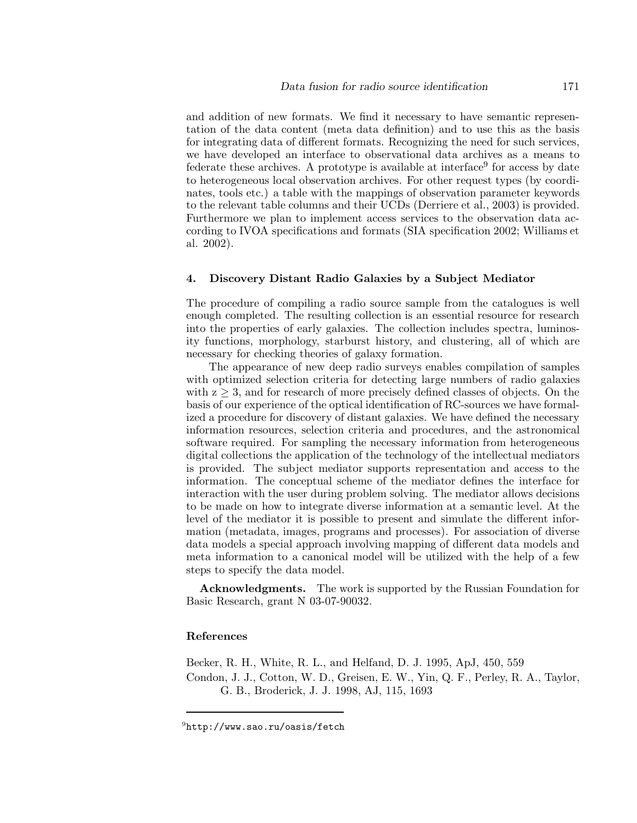and addition of new formats. We find it necessary to have semantic representation of the data content (meta data definition) and to use this as the basis for integrating data of different formats. Recognizing the need for such services, we have developed an interface to observational data archives as a means to federate these archives. A prototype is available at interface  $9^9$  for access by date to heterogeneous local observation archives. For other request types (by coordinates, tools etc.) a table with the mappings of observation parameter keywords to the relevant table columns and their UCDs (Derriere et al., 2003) is provided. Furthermore we plan to implement access services to the observation data according to IVOA specifications and formats (SIA specification 2002; Williams et al. 2002).

### **4. Discovery Distant Radio Galaxies by a Subject Mediator**

The procedure of compiling a radio source sample from the catalogues is well enough completed. The resulting collection is an essential resource for research into the properties of early galaxies. The collection includes spectra, luminosity functions, morphology, starburst history, and clustering, all of which are necessary for checking theories of galaxy formation.

The appearance of new deep radio surveys enables compilation of samples with optimized selection criteria for detecting large numbers of radio galaxies with  $z \geq 3$ , and for research of more precisely defined classes of objects. On the basis of our experience of the optical identification of RC-sources we have formalized a procedure for discovery of distant galaxies. We have defined the necessary information resources, selection criteria and procedures, and the astronomical software required. For sampling the necessary information from heterogeneous digital collections the application of the technology of the intellectual mediators is provided. The subject mediator supports representation and access to the information. The conceptual scheme of the mediator defines the interface for interaction with the user during problem solving. The mediator allows decisions to be made on how to integrate diverse information at a semantic level. At the level of the mediator it is possible to present and simulate the different information (metadata, images, programs and processes). For association of diverse data models a special approach involving mapping of different data models and meta information to a canonical model will be utilized with the help of a few steps to specify the data model.

**Acknowledgments.** The work is supported by the Russian Foundation for Basic Research, grant N 03-07-90032.

### **References**

Becker, R. H., White, R. L., and Helfand, D. J. 1995, ApJ, 450, 559 Condon, J. J., Cotton, W. D., Greisen, E. W., Yin, Q. F., Perley, R. A., Taylor, G. B., Broderick, J. J. 1998, AJ, 115, 1693

 $^{9}$ http://www.sao.ru/oasis/fetch